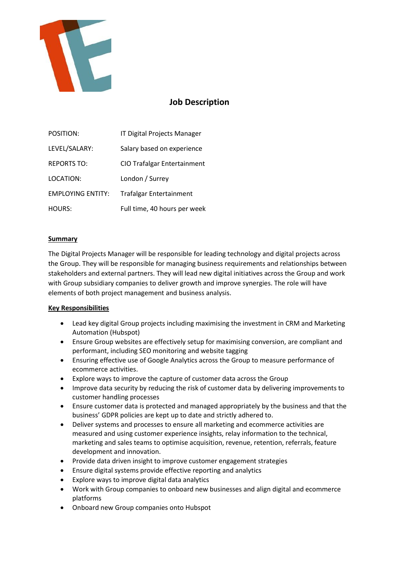

# **Job Description**

| POSITION:                | IT Digital Projects Manager        |
|--------------------------|------------------------------------|
| LEVEL/SALARY:            | Salary based on experience         |
| <b>REPORTS TO:</b>       | <b>CIO Trafalgar Entertainment</b> |
| LOCATION:                | London / Surrey                    |
| <b>EMPLOYING ENTITY:</b> | Trafalgar Entertainment            |
| HOURS:                   | Full time, 40 hours per week       |

# **Summary**

The Digital Projects Manager will be responsible for leading technology and digital projects across the Group. They will be responsible for managing business requirements and relationships between stakeholders and external partners. They will lead new digital initiatives across the Group and work with Group subsidiary companies to deliver growth and improve synergies. The role will have elements of both project management and business analysis.

# **Key Responsibilities**

- Lead key digital Group projects including maximising the investment in CRM and Marketing Automation (Hubspot)
- Ensure Group websites are effectively setup for maximising conversion, are compliant and performant, including SEO monitoring and website tagging
- Ensuring effective use of Google Analytics across the Group to measure performance of ecommerce activities.
- Explore ways to improve the capture of customer data across the Group
- Improve data security by reducing the risk of customer data by delivering improvements to customer handling processes
- Ensure customer data is protected and managed appropriately by the business and that the business' GDPR policies are kept up to date and strictly adhered to.
- Deliver systems and processes to ensure all marketing and ecommerce activities are measured and using customer experience insights, relay information to the technical, marketing and sales teams to optimise acquisition, revenue, retention, referrals, feature development and innovation.
- Provide data driven insight to improve customer engagement strategies
- Ensure digital systems provide effective reporting and analytics
- Explore ways to improve digital data analytics
- Work with Group companies to onboard new businesses and align digital and ecommerce platforms
- Onboard new Group companies onto Hubspot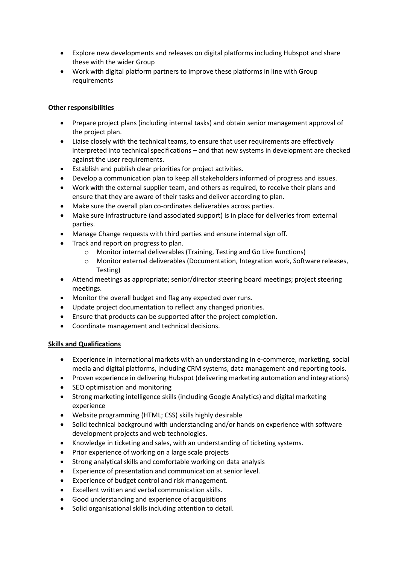- Explore new developments and releases on digital platforms including Hubspot and share these with the wider Group
- Work with digital platform partners to improve these platforms in line with Group requirements

## **Other responsibilities**

- Prepare project plans (including internal tasks) and obtain senior management approval of the project plan.
- Liaise closely with the technical teams, to ensure that user requirements are effectively interpreted into technical specifications – and that new systems in development are checked against the user requirements.
- Establish and publish clear priorities for project activities.
- Develop a communication plan to keep all stakeholders informed of progress and issues.
- Work with the external supplier team, and others as required, to receive their plans and ensure that they are aware of their tasks and deliver according to plan.
- Make sure the overall plan co-ordinates deliverables across parties.
- Make sure infrastructure (and associated support) is in place for deliveries from external parties.
- Manage Change requests with third parties and ensure internal sign off.
- Track and report on progress to plan.
	- o Monitor internal deliverables (Training, Testing and Go Live functions)
	- o Monitor external deliverables (Documentation, Integration work, Software releases, Testing)
- Attend meetings as appropriate; senior/director steering board meetings; project steering meetings.
- Monitor the overall budget and flag any expected over runs.
- Update project documentation to reflect any changed priorities.
- Ensure that products can be supported after the project completion.
- Coordinate management and technical decisions.

#### **Skills and Qualifications**

- Experience in international markets with an understanding in e-commerce, marketing, social media and digital platforms, including CRM systems, data management and reporting tools.
- Proven experience in delivering Hubspot (delivering marketing automation and integrations)
- SEO optimisation and monitoring
- Strong marketing intelligence skills (including Google Analytics) and digital marketing experience
- Website programming (HTML; CSS) skills highly desirable
- Solid technical background with understanding and/or hands on experience with software development projects and web technologies.
- Knowledge in ticketing and sales, with an understanding of ticketing systems.
- Prior experience of working on a large scale projects
- Strong analytical skills and comfortable working on data analysis
- Experience of presentation and communication at senior level.
- Experience of budget control and risk management.
- Excellent written and verbal communication skills.
- Good understanding and experience of acquisitions
- Solid organisational skills including attention to detail.